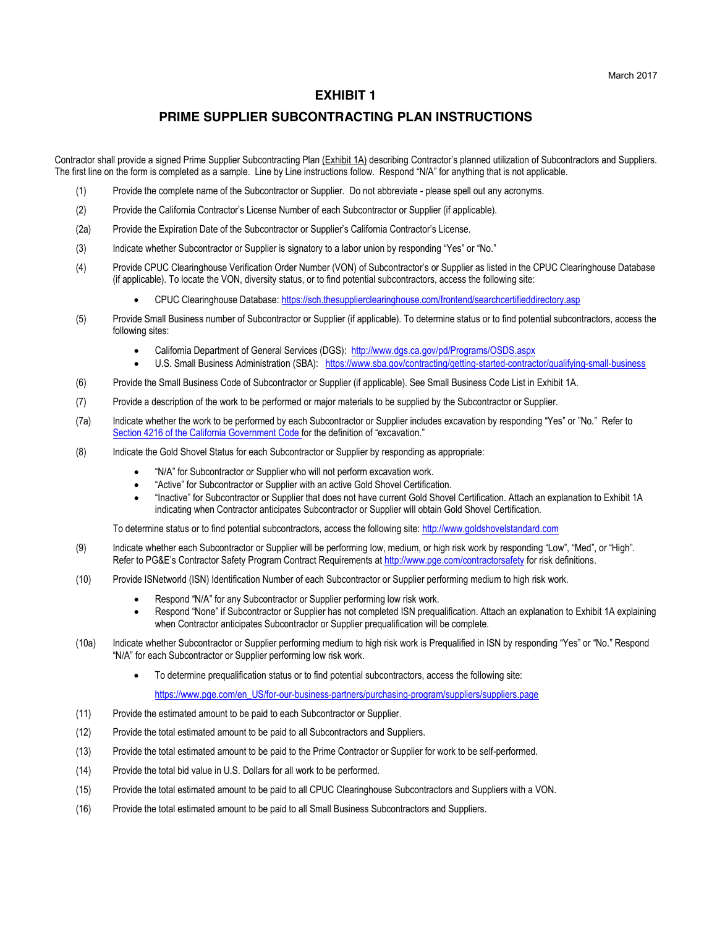## **EXHIBIT 1**

## **PRIME SUPPLIER SUBCONTRACTING PLAN INSTRUCTIONS**

Contractor shall provide a signed Prime Supplier Subcontracting Plan (Exhibit 1A) describing Contractor's planned utilization of Subcontractors and Suppliers. The first line on the form is completed as a sample. Line by Line instructions follow. Respond "N/A" for anything that is not applicable.

- (1) Provide the complete name of the Subcontractor or Supplier. Do not abbreviate please spell out any acronyms.
- (2) Provide the California Contractor's License Number of each Subcontractor or Supplier (if applicable).
- (2a) Provide the Expiration Date of the Subcontractor or Supplier's California Contractor's License.
- (3) Indicate whether Subcontractor or Supplier is signatory to a labor union by responding "Yes" or "No."
- (4) Provide CPUC Clearinghouse Verification Order Number (VON) of Subcontractor's or Supplier as listed in the CPUC Clearinghouse Database (if applicable). To locate the VON, diversity status, or to find potential subcontractors, access the following site:
	- x CPUC Clearinghouse Database: https://sch.thesupplierclearinghouse.com/frontend/searchcertifieddirectory.asp
- (5) Provide Small Business number of Subcontractor or Supplier (if applicable). To determine status or to find potential subcontractors, access the following sites:
	- x California Department of General Services (DGS): http://www.dgs.ca.gov/pd/Programs/OSDS.aspx
	- U.S. Small Business Administration (SBA): https://www.sba.gov/contracting/getting-started-contractor/qualifying-small-business
- (6) Provide the Small Business Code of Subcontractor or Supplier (if applicable). See Small Business Code List in Exhibit 1A.
- (7) Provide a description of the work to be performed or major materials to be supplied by the Subcontractor or Supplier.
- (7a) Indicate whether the work to be performed by each Subcontractor or Supplier includes excavation by responding "Yes" or "No." Refer to Section 4216 of the California Government Code for the definition of "excavation."
- (8) Indicate the Gold Shovel Status for each Subcontractor or Supplier by responding as appropriate:
	- "N/A" for Subcontractor or Supplier who will not perform excavation work.
	- "Active" for Subcontractor or Supplier with an active Gold Shovel Certification.
	- x "Inactive" for Subcontractor or Supplier that does not have current Gold Shovel Certification. Attach an explanation to Exhibit 1A indicating when Contractor anticipates Subcontractor or Supplier will obtain Gold Shovel Certification.

To determine status or to find potential subcontractors, access the following site: http://www.goldshovelstandard.com

- (9) Indicate whether each Subcontractor or Supplier will be performing low, medium, or high risk work by responding "Low", "Med", or "High". Refer to PG&E's Contractor Safety Program Contract Requirements at http://www.pge.com/contractorsafety for risk definitions.
- (10) Provide ISNetworld (ISN) Identification Number of each Subcontractor or Supplier performing medium to high risk work.
	- Respond "N/A" for any Subcontractor or Supplier performing low risk work.
	- Respond "None" if Subcontractor or Supplier has not completed ISN prequalification. Attach an explanation to Exhibit 1A explaining when Contractor anticipates Subcontractor or Supplier prequalification will be complete.
- (10a) Indicate whether Subcontractor or Supplier performing medium to high risk work is Prequalified in ISN by responding "Yes" or "No." Respond "N/A" for each Subcontractor or Supplier performing low risk work.
	- To determine prequalification status or to find potential subcontractors, access the following site:

https://www.pge.com/en\_US/for-our-business-partners/purchasing-program/suppliers/suppliers.page

- (11) Provide the estimated amount to be paid to each Subcontractor or Supplier.
- (12) Provide the total estimated amount to be paid to all Subcontractors and Suppliers.
- (13) Provide the total estimated amount to be paid to the Prime Contractor or Supplier for work to be self-performed.
- (14) Provide the total bid value in U.S. Dollars for all work to be performed.
- (15) Provide the total estimated amount to be paid to all CPUC Clearinghouse Subcontractors and Suppliers with a VON.
- (16) Provide the total estimated amount to be paid to all Small Business Subcontractors and Suppliers.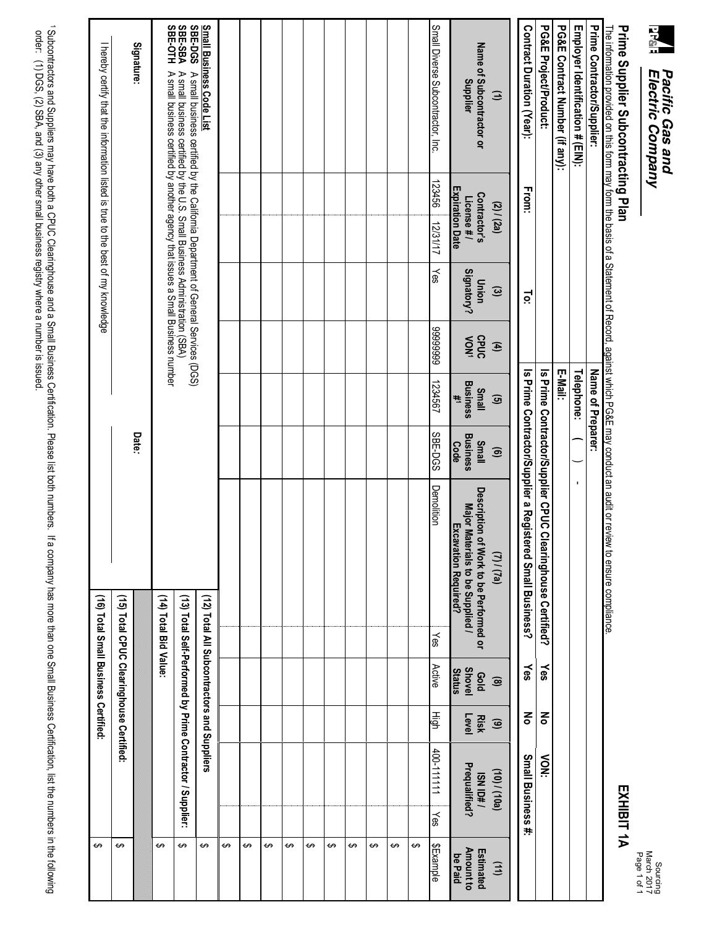| ŗ<br>Ģ<br>stric<br>ìΙ<br>ser<br>S<br>y |  |
|----------------------------------------|--|

## EXHIBIT 1A March 2017 Sourcing<br>March 2017<br>Page 1 of 1

**EXHIBIT 1A**

## Prime Supplier Subcontracting Plan **Prime Supplier Subcontracting Plan**

The information provided on this form may form the basis of a Statement of Record, against which PG&E may conduct an audit or review to ensure compliance.<br>**Prime Contractor/Supplier:** The information provided on this form may form the basis of a Statement of Record, against which PG&E may conduct an audit or review to ensure compliance.

| Small Diverse Subcontractor, Inc.<br>PG&E Project/Product:<br>Contract Duration (Year):<br>PG&E Contract Number (if any):<br>Employer Identification # (EIN):<br>Prime Contractor/Supplier:<br>Name of Subcontractor or<br><b>Supplier</b><br>$\ominus$<br>123456<br><b>Expiration Date</b><br>From:<br>Contractor's<br>License#/<br>(2) / (2a)                            |                     | Name of Preparer:                            |                                         |                                                                                                    |                                             |                      |                                                           |                                          |
|----------------------------------------------------------------------------------------------------------------------------------------------------------------------------------------------------------------------------------------------------------------------------------------------------------------------------------------------------------------------------|---------------------|----------------------------------------------|-----------------------------------------|----------------------------------------------------------------------------------------------------|---------------------------------------------|----------------------|-----------------------------------------------------------|------------------------------------------|
|                                                                                                                                                                                                                                                                                                                                                                            |                     | Telephone:                                   |                                         |                                                                                                    |                                             |                      |                                                           |                                          |
|                                                                                                                                                                                                                                                                                                                                                                            |                     | E-Mail:                                      |                                         |                                                                                                    |                                             |                      |                                                           |                                          |
|                                                                                                                                                                                                                                                                                                                                                                            |                     |                                              | Is Prime Contractor/Supplier CPUC CI    | earinghouse Certified?                                                                             | Yes                                         | 중                    | $\sum_{i=1}^{n}$                                          |                                          |
|                                                                                                                                                                                                                                                                                                                                                                            | Ĕ                   |                                              |                                         | Is Prime Contractor/Supplier a Registered Small Business?                                          | Yes                                         | 종                    | Small Business #:                                         |                                          |
|                                                                                                                                                                                                                                                                                                                                                                            | $\odot$             | $\mathbf{f}$<br>$\mathbf{G}$                 | $\widehat{\mathbf{e}}$                  | $(l)$ / $(l)$                                                                                      | $\circledcirc$                              | $\odot$              | (10) / (01)                                               | (11)                                     |
|                                                                                                                                                                                                                                                                                                                                                                            | Signatory?<br>Union | CPUC<br>NON<br><b>Business</b><br>Small<br>¥ | <b>Business</b><br>Small<br><b>Code</b> | Description of Work to be Performed or<br>Major Materials to be Supplied /<br>Excavation Required? | <b>Shovel</b><br><b>Status</b><br>pop       | Level<br><b>Risk</b> | Prequalified?<br>ISN ID#/                                 | <b>Amount to</b><br>Estimated<br>be Paid |
|                                                                                                                                                                                                                                                                                                                                                                            | 12/31/17<br>kes     | 6666666<br>1234567                           | <b>SBE-DGS</b>                          | Demolition<br>Yes                                                                                  | Active                                      | High                 | 400-111111<br>yes                                         | \$Example                                |
|                                                                                                                                                                                                                                                                                                                                                                            |                     |                                              |                                         |                                                                                                    |                                             |                      |                                                           | ↔                                        |
|                                                                                                                                                                                                                                                                                                                                                                            |                     |                                              |                                         |                                                                                                    |                                             |                      |                                                           | ↔                                        |
|                                                                                                                                                                                                                                                                                                                                                                            |                     |                                              |                                         |                                                                                                    |                                             |                      |                                                           | ↔                                        |
|                                                                                                                                                                                                                                                                                                                                                                            |                     |                                              |                                         |                                                                                                    |                                             |                      |                                                           | ↔                                        |
|                                                                                                                                                                                                                                                                                                                                                                            |                     |                                              |                                         |                                                                                                    |                                             |                      |                                                           | ↮                                        |
|                                                                                                                                                                                                                                                                                                                                                                            |                     |                                              |                                         |                                                                                                    |                                             |                      |                                                           | ↮                                        |
|                                                                                                                                                                                                                                                                                                                                                                            |                     |                                              |                                         |                                                                                                    |                                             |                      |                                                           | ↔                                        |
|                                                                                                                                                                                                                                                                                                                                                                            |                     |                                              |                                         |                                                                                                    |                                             |                      |                                                           | ↔                                        |
|                                                                                                                                                                                                                                                                                                                                                                            |                     |                                              |                                         |                                                                                                    |                                             |                      |                                                           | ↔                                        |
|                                                                                                                                                                                                                                                                                                                                                                            |                     |                                              |                                         |                                                                                                    |                                             |                      |                                                           | ↔                                        |
|                                                                                                                                                                                                                                                                                                                                                                            |                     |                                              |                                         |                                                                                                    | (12) Total All Subcontractors and Suppliers |                      |                                                           | ↔                                        |
| <b>Small Business Code List</b><br>SBE-DGS A small business<br>SBE-SBA A small business<br>SBE-OTH A small business<br>A small business certified by the U.S. Small Business Administration (SBA)<br>A small business certified by another agency that issues a Small Business number<br>A small business certified by the California Department of General Services (DGS) |                     |                                              |                                         |                                                                                                    |                                             |                      | (13) Total Self-Performed by Prime Contractor / Supplier: | ↔                                        |
|                                                                                                                                                                                                                                                                                                                                                                            |                     |                                              |                                         | (14) Total Bid Value:                                                                              |                                             |                      |                                                           | ↔                                        |
| Signature:                                                                                                                                                                                                                                                                                                                                                                 |                     |                                              | Date:                                   |                                                                                                    | (15) Total CPUC Clearinghouse Certified:    |                      |                                                           | ↔                                        |
| I hereby certify that the information listed is true to the best of my knowledge                                                                                                                                                                                                                                                                                           |                     |                                              |                                         |                                                                                                    | (16) Total Small Business Certified         |                      |                                                           | ↔                                        |

1 Subcontractors and Suppliers may have both a CPUC Clearinghouse and a Small Business Certification. Please list both numbers. If a company has more than one Small Business Certification, list the numbers in the following 1 Subcontractors and Suppliers may have both a CPUC Clearinghouse and a Small Business Certification. Please list both numbers. order: (1) DGS, (2) SBA, and (3) any other small business registry where a number is issued. If a company has more than one Small Business Certification, list the numbers in the following